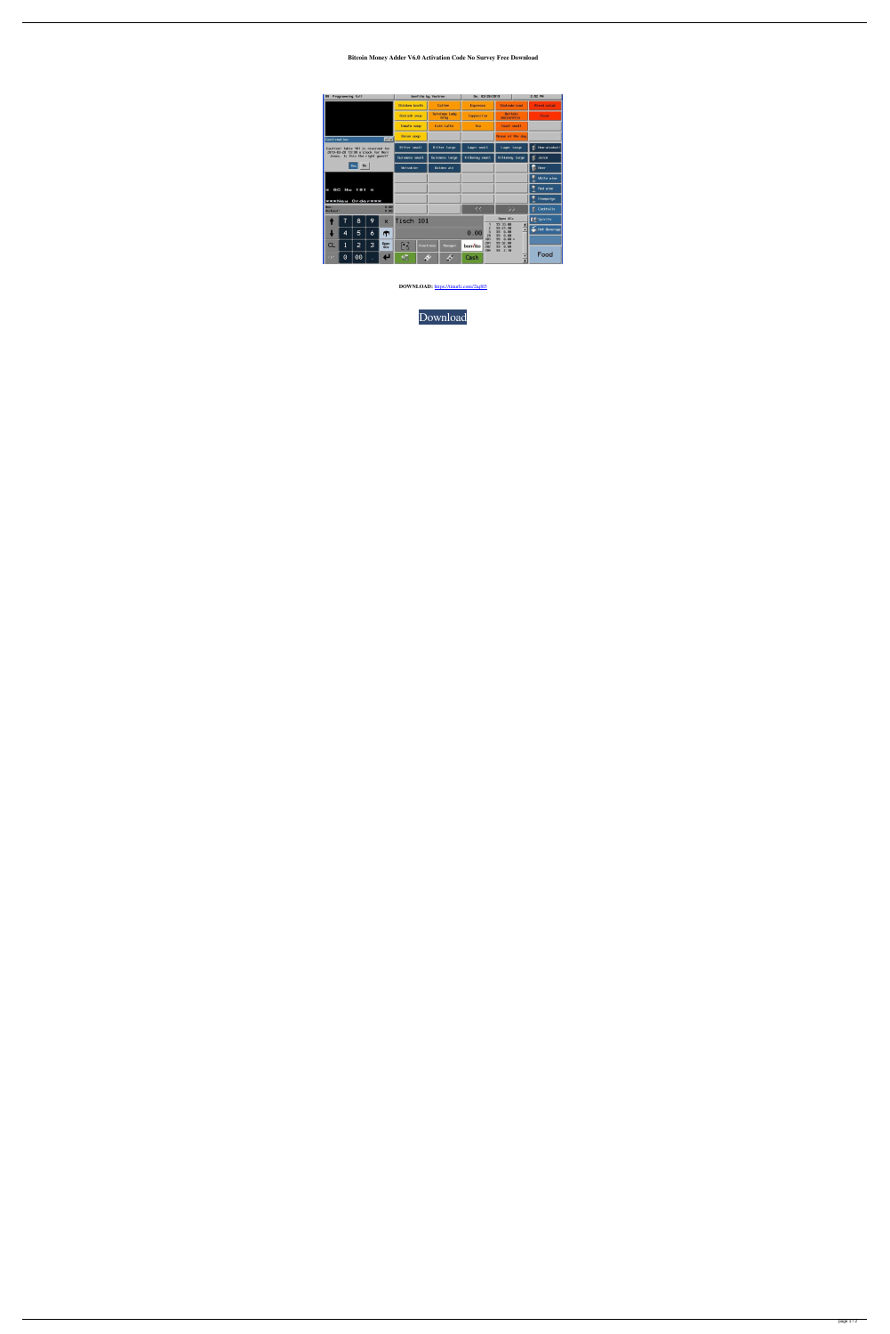## **Bitcoin Money Adder V6.0 Activation Code No Survey Free Download**

| 99                                                                                                                             | Programming full |    |   |                         | bonVito by Vectron                                                                                      |                   |                                    |     | Do. 03/28/2013    |              |                              |  | 2:52 PM            |  |
|--------------------------------------------------------------------------------------------------------------------------------|------------------|----|---|-------------------------|---------------------------------------------------------------------------------------------------------|-------------------|------------------------------------|-----|-------------------|--------------|------------------------------|--|--------------------|--|
|                                                                                                                                |                  |    |   |                         | <b>Chicken</b> broth                                                                                    |                   | <b>Coffee</b>                      |     | <b>Espresso</b>   |              | <b>Chateubriand</b>          |  | <b>Hixed salad</b> |  |
|                                                                                                                                |                  |    |   |                         | Goulash soup                                                                                            |                   | <b>Tuinings Lady</b><br>Grey       |     | <b>Cappuccino</b> |              | <b>Buffalo</b><br>mozzaretta |  | <b>Cesar</b>       |  |
|                                                                                                                                |                  |    |   | Tomato soup             |                                                                                                         | <b>Cafe Latte</b> |                                    | Tea |                   | Toast small  |                              |  |                    |  |
| x <br><b>Confirmation</b>                                                                                                      |                  |    |   |                         | Onion soup                                                                                              |                   |                                    |     |                   |              | Henue of the day             |  |                    |  |
| Caution! Table 101 is reserved for<br>2013-03-28 13:30 o'clock for Herr<br>Jones. Is this the right quest?<br><b>No</b><br>Yes |                  |    |   |                         | <b>Bitter small</b>                                                                                     |                   | <b>Bitter Large</b>                |     | Lager small       |              | Lager targe                  |  | Non-atcohoti<br>П  |  |
|                                                                                                                                |                  |    |   |                         | Guinness small                                                                                          |                   | <b>Guinness large</b>              |     | Kilkenny small    |              | Kilkenny large               |  | Juice<br>П         |  |
|                                                                                                                                |                  |    |   |                         | <b>Ueissbier</b>                                                                                        |                   | <b>Golden</b> ale                  |     |                   |              |                              |  | Beer<br>n.         |  |
|                                                                                                                                |                  |    |   |                         |                                                                                                         |                   |                                    |     |                   |              |                              |  | <b>Uhite wine</b>  |  |
| GC<br>No 101<br>360<br>×                                                                                                       |                  |    |   |                         |                                                                                                         |                   |                                    |     |                   |              |                              |  | <b>Red wine</b>    |  |
| <b>ЖЖЖНеш Orderжжж</b>                                                                                                         |                  |    |   |                         |                                                                                                         |                   |                                    |     |                   |              |                              |  | Champaign          |  |
| 8.88<br>Bon:<br>Verkauf:<br>8.80                                                                                               |                  |    |   |                         |                                                                                                         |                   |                                    |     | 44                |              | 77                           |  | Cocktails<br>П     |  |
|                                                                                                                                | $\overline{7}$   | 8  | 9 | $\overline{\mathsf{x}}$ | Tisch 101                                                                                               |                   |                                    |     |                   | $\mathbf{1}$ | Open GCs<br>99 33.00         |  | <b>DE</b> Spirits  |  |
|                                                                                                                                | 4                | 5  | 6 | m                       | $\frac{1}{2}$<br>$\overline{c}$<br>99 21.98<br>5<br>99<br>6.88<br>0.00<br>$\overline{28}$<br>99<br>6.88 |                   |                                    |     |                   |              |                              |  | Hot Beverage       |  |
| <b>CL</b>                                                                                                                      | 1                | 2  | 3 | Open                    | 随                                                                                                       |                   | <b>Functions</b><br><b>Manager</b> |     | <b>bon/ito</b>    | 181<br>281   | 99<br>$0.00*$<br>99 32.88    |  |                    |  |
|                                                                                                                                |                  |    |   | BC <sub>5</sub>         |                                                                                                         |                   |                                    |     |                   | 282<br>284   | 99<br>0.00<br>99<br>2.18     |  |                    |  |
| E S C                                                                                                                          | $\odot$          | 00 |   | Е                       | 蠕                                                                                                       | $\clubsuit$       |                                    | \$  | Cash              |              | ×                            |  | Food               |  |

**DOWNLOAD:** <https://tinurli.com/2iq8l5>